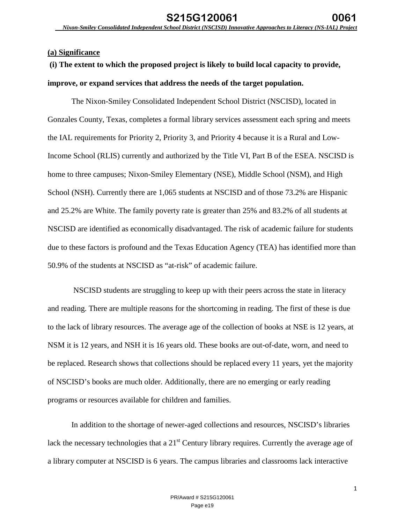## **(a) Significance**

# **(i) The extent to which the proposed project is likely to build local capacity to provide, improve, or expand services that address the needs of the target population.**

The Nixon-Smiley Consolidated Independent School District (NSCISD), located in Gonzales County, Texas, completes a formal library services assessment each spring and meets the IAL requirements for Priority 2, Priority 3, and Priority 4 because it is a Rural and Low-Income School (RLIS) currently and authorized by the Title VI, Part B of the ESEA. NSCISD is home to three campuses; Nixon-Smiley Elementary (NSE), Middle School (NSM), and High School (NSH). Currently there are 1,065 students at NSCISD and of those 73.2% are Hispanic and 25.2% are White. The family poverty rate is greater than 25% and 83.2% of all students at NSCISD are identified as economically disadvantaged. The risk of academic failure for students due to these factors is profound and the Texas Education Agency (TEA) has identified more than 50.9% of the students at NSCISD as "at-risk" of academic failure.

NSCISD students are struggling to keep up with their peers across the state in literacy and reading. There are multiple reasons for the shortcoming in reading. The first of these is due to the lack of library resources. The average age of the collection of books at NSE is 12 years, at NSM it is 12 years, and NSH it is 16 years old. These books are out-of-date, worn, and need to be replaced. Research shows that collections should be replaced every 11 years, yet the majority of NSCISD's books are much older. Additionally, there are no emerging or early reading programs or resources available for children and families.

In addition to the shortage of newer-aged collections and resources, NSCISD's libraries lack the necessary technologies that a  $21<sup>st</sup>$  Century library requires. Currently the average age of a library computer at NSCISD is 6 years. The campus libraries and classrooms lack interactive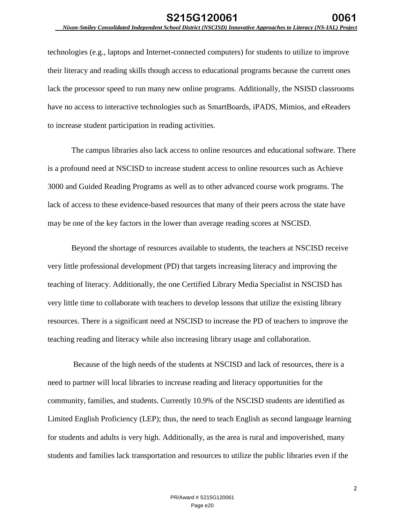technologies (e.g., laptops and Internet-connected computers) for students to utilize to improve their literacy and reading skills though access to educational programs because the current ones lack the processor speed to run many new online programs. Additionally, the NSISD classrooms have no access to interactive technologies such as SmartBoards, iPADS, Mimios, and eReaders to increase student participation in reading activities.

The campus libraries also lack access to online resources and educational software. There is a profound need at NSCISD to increase student access to online resources such as Achieve 3000 and Guided Reading Programs as well as to other advanced course work programs. The lack of access to these evidence-based resources that many of their peers across the state have may be one of the key factors in the lower than average reading scores at NSCISD.

Beyond the shortage of resources available to students, the teachers at NSCISD receive very little professional development (PD) that targets increasing literacy and improving the teaching of literacy. Additionally, the one Certified Library Media Specialist in NSCISD has very little time to collaborate with teachers to develop lessons that utilize the existing library resources. There is a significant need at NSCISD to increase the PD of teachers to improve the teaching reading and literacy while also increasing library usage and collaboration.

Because of the high needs of the students at NSCISD and lack of resources, there is a need to partner will local libraries to increase reading and literacy opportunities for the community, families, and students. Currently 10.9% of the NSCISD students are identified as Limited English Proficiency (LEP); thus, the need to teach English as second language learning for students and adults is very high. Additionally, as the area is rural and impoverished, many students and families lack transportation and resources to utilize the public libraries even if the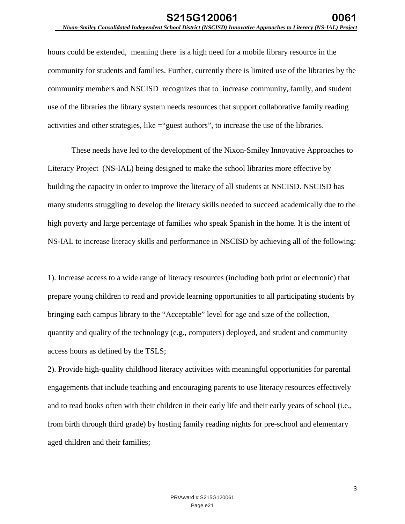hours could be extended, meaning there is a high need for a mobile library resource in the community for students and families. Further, currently there is limited use of the libraries by the community members and NSCISD recognizes that to increase community, family, and student use of the libraries the library system needs resources that support collaborative family reading activities and other strategies, like ="guest authors", to increase the use of the libraries.

These needs have led to the development of the Nixon-Smiley Innovative Approaches to Literacy Project (NS-IAL) being designed to make the school libraries more effective by building the capacity in order to improve the literacy of all students at NSCISD. NSCISD has many students struggling to develop the literacy skills needed to succeed academically due to the high poverty and large percentage of families who speak Spanish in the home. It is the intent of NS-IAL to increase literacy skills and performance in NSCISD by achieving all of the following:

1). Increase access to a wide range of literacy resources (including both print or electronic) that prepare young children to read and provide learning opportunities to all participating students by bringing each campus library to the "Acceptable" level for age and size of the collection, quantity and quality of the technology (e.g., computers) deployed, and student and community access hours as defined by the TSLS;

2). Provide high-quality childhood literacy activities with meaningful opportunities for parental engagements that include teaching and encouraging parents to use literacy resources effectively and to read books often with their children in their early life and their early years of school (i.e., from birth through third grade) by hosting family reading nights for pre-school and elementary aged children and their families;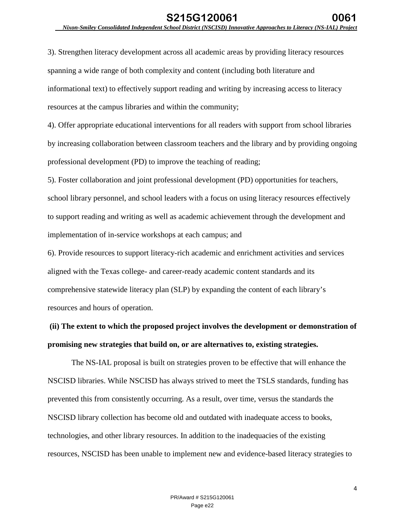3). Strengthen literacy development across all academic areas by providing literacy resources spanning a wide range of both complexity and content (including both literature and informational text) to effectively support reading and writing by increasing access to literacy resources at the campus libraries and within the community;

4). Offer appropriate educational interventions for all readers with support from school libraries by increasing collaboration between classroom teachers and the library and by providing ongoing professional development (PD) to improve the teaching of reading;

5). Foster collaboration and joint professional development (PD) opportunities for teachers, school library personnel, and school leaders with a focus on using literacy resources effectively to support reading and writing as well as academic achievement through the development and implementation of in-service workshops at each campus; and

6). Provide resources to support literacy-rich academic and enrichment activities and services aligned with the Texas college- and career-ready academic content standards and its comprehensive statewide literacy plan (SLP) by expanding the content of each library's resources and hours of operation.

# **(ii) The extent to which the proposed project involves the development or demonstration of promising new strategies that build on, or are alternatives to, existing strategies.**

The NS-IAL proposal is built on strategies proven to be effective that will enhance the NSCISD libraries. While NSCISD has always strived to meet the TSLS standards, funding has prevented this from consistently occurring. As a result, over time, versus the standards the NSCISD library collection has become old and outdated with inadequate access to books, technologies, and other library resources. In addition to the inadequacies of the existing resources, NSCISD has been unable to implement new and evidence-based literacy strategies to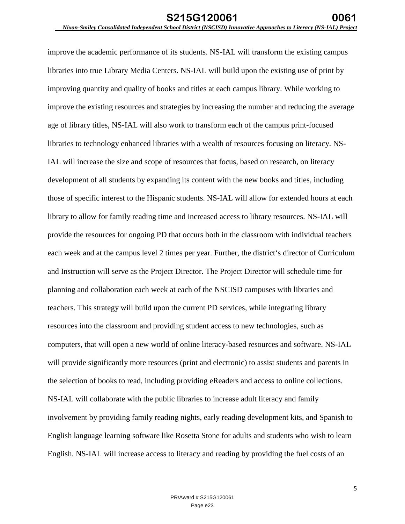improve the academic performance of its students. NS-IAL will transform the existing campus libraries into true Library Media Centers. NS-IAL will build upon the existing use of print by improving quantity and quality of books and titles at each campus library. While working to improve the existing resources and strategies by increasing the number and reducing the average age of library titles, NS-IAL will also work to transform each of the campus print-focused libraries to technology enhanced libraries with a wealth of resources focusing on literacy. NS-IAL will increase the size and scope of resources that focus, based on research, on literacy development of all students by expanding its content with the new books and titles, including those of specific interest to the Hispanic students. NS-IAL will allow for extended hours at each library to allow for family reading time and increased access to library resources. NS-IAL will provide the resources for ongoing PD that occurs both in the classroom with individual teachers each week and at the campus level 2 times per year. Further, the district's director of Curriculum and Instruction will serve as the Project Director. The Project Director will schedule time for planning and collaboration each week at each of the NSCISD campuses with libraries and teachers. This strategy will build upon the current PD services, while integrating library resources into the classroom and providing student access to new technologies, such as computers, that will open a new world of online literacy-based resources and software. NS-IAL will provide significantly more resources (print and electronic) to assist students and parents in the selection of books to read, including providing eReaders and access to online collections. NS-IAL will collaborate with the public libraries to increase adult literacy and family involvement by providing family reading nights, early reading development kits, and Spanish to English language learning software like Rosetta Stone for adults and students who wish to learn English. NS-IAL will increase access to literacy and reading by providing the fuel costs of an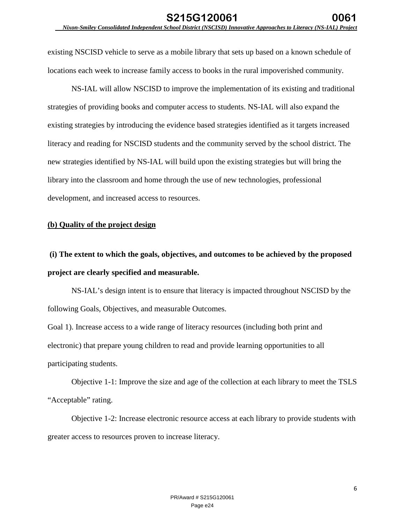existing NSCISD vehicle to serve as a mobile library that sets up based on a known schedule of locations each week to increase family access to books in the rural impoverished community.

NS-IAL will allow NSCISD to improve the implementation of its existing and traditional strategies of providing books and computer access to students. NS-IAL will also expand the existing strategies by introducing the evidence based strategies identified as it targets increased literacy and reading for NSCISD students and the community served by the school district. The new strategies identified by NS-IAL will build upon the existing strategies but will bring the library into the classroom and home through the use of new technologies, professional development, and increased access to resources.

## **(b) Quality of the project design**

**(i) The extent to which the goals, objectives, and outcomes to be achieved by the proposed project are clearly specified and measurable.** 

NS-IAL's design intent is to ensure that literacy is impacted throughout NSCISD by the following Goals, Objectives, and measurable Outcomes.

Goal 1). Increase access to a wide range of literacy resources (including both print and electronic) that prepare young children to read and provide learning opportunities to all participating students.

Objective 1-1: Improve the size and age of the collection at each library to meet the TSLS "Acceptable" rating.

Objective 1-2: Increase electronic resource access at each library to provide students with greater access to resources proven to increase literacy.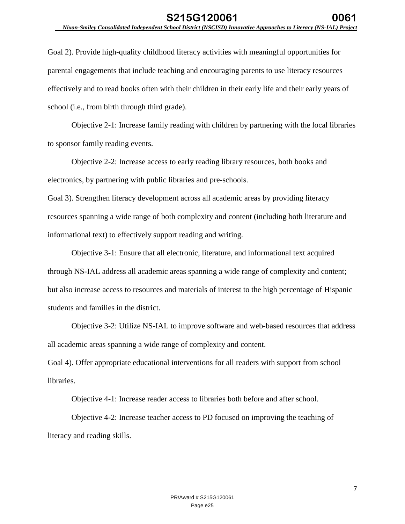Goal 2). Provide high-quality childhood literacy activities with meaningful opportunities for parental engagements that include teaching and encouraging parents to use literacy resources effectively and to read books often with their children in their early life and their early years of school (i.e., from birth through third grade).

Objective 2-1: Increase family reading with children by partnering with the local libraries to sponsor family reading events.

Objective 2-2: Increase access to early reading library resources, both books and electronics, by partnering with public libraries and pre-schools.

Goal 3). Strengthen literacy development across all academic areas by providing literacy resources spanning a wide range of both complexity and content (including both literature and informational text) to effectively support reading and writing.

Objective 3-1: Ensure that all electronic, literature, and informational text acquired through NS-IAL address all academic areas spanning a wide range of complexity and content; but also increase access to resources and materials of interest to the high percentage of Hispanic students and families in the district.

Objective 3-2: Utilize NS-IAL to improve software and web-based resources that address all academic areas spanning a wide range of complexity and content.

Goal 4). Offer appropriate educational interventions for all readers with support from school libraries.

Objective 4-1: Increase reader access to libraries both before and after school.

Objective 4-2: Increase teacher access to PD focused on improving the teaching of literacy and reading skills.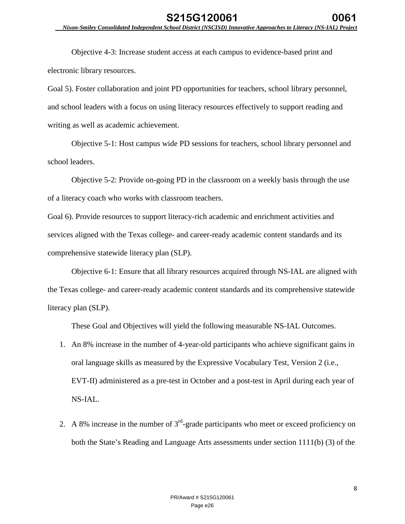Objective 4-3: Increase student access at each campus to evidence-based print and electronic library resources.

Goal 5). Foster collaboration and joint PD opportunities for teachers, school library personnel, and school leaders with a focus on using literacy resources effectively to support reading and writing as well as academic achievement.

Objective 5-1: Host campus wide PD sessions for teachers, school library personnel and school leaders.

Objective 5-2: Provide on-going PD in the classroom on a weekly basis through the use of a literacy coach who works with classroom teachers.

Goal 6). Provide resources to support literacy-rich academic and enrichment activities and services aligned with the Texas college- and career-ready academic content standards and its comprehensive statewide literacy plan (SLP).

Objective 6-1: Ensure that all library resources acquired through NS-IAL are aligned with the Texas college- and career-ready academic content standards and its comprehensive statewide literacy plan (SLP).

These Goal and Objectives will yield the following measurable NS-IAL Outcomes.

- 1. An 8% increase in the number of 4-year-old participants who achieve significant gains in oral language skills as measured by the Expressive Vocabulary Test, Version 2 (i.e., EVT-II) administered as a pre-test in October and a post-test in April during each year of NS-IAL.
- 2. A 8% increase in the number of  $3<sup>rd</sup>$ -grade participants who meet or exceed proficiency on both the State's Reading and Language Arts assessments under section 1111(b) (3) of the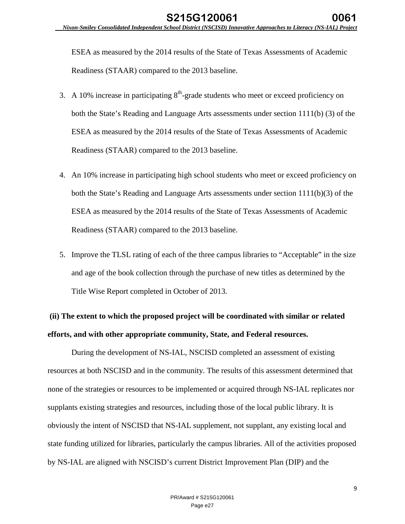ESEA as measured by the 2014 results of the State of Texas Assessments of Academic Readiness (STAAR) compared to the 2013 baseline.

- 3. A 10% increase in participating  $8<sup>th</sup>$ -grade students who meet or exceed proficiency on both the State's Reading and Language Arts assessments under section 1111(b) (3) of the ESEA as measured by the 2014 results of the State of Texas Assessments of Academic Readiness (STAAR) compared to the 2013 baseline.
- 4. An 10% increase in participating high school students who meet or exceed proficiency on both the State's Reading and Language Arts assessments under section 1111(b)(3) of the ESEA as measured by the 2014 results of the State of Texas Assessments of Academic Readiness (STAAR) compared to the 2013 baseline.
- 5. Improve the TLSL rating of each of the three campus libraries to "Acceptable" in the size and age of the book collection through the purchase of new titles as determined by the Title Wise Report completed in October of 2013.

# **(ii) The extent to which the proposed project will be coordinated with similar or related efforts, and with other appropriate community, State, and Federal resources.**

During the development of NS-IAL, NSCISD completed an assessment of existing resources at both NSCISD and in the community. The results of this assessment determined that none of the strategies or resources to be implemented or acquired through NS-IAL replicates nor supplants existing strategies and resources, including those of the local public library. It is obviously the intent of NSCISD that NS-IAL supplement, not supplant, any existing local and state funding utilized for libraries, particularly the campus libraries. All of the activities proposed by NS-IAL are aligned with NSCISD's current District Improvement Plan (DIP) and the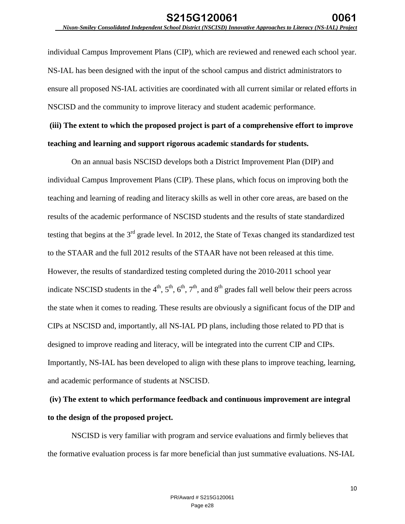individual Campus Improvement Plans (CIP), which are reviewed and renewed each school year. NS-IAL has been designed with the input of the school campus and district administrators to ensure all proposed NS-IAL activities are coordinated with all current similar or related efforts in NSCISD and the community to improve literacy and student academic performance.

**(iii) The extent to which the proposed project is part of a comprehensive effort to improve teaching and learning and support rigorous academic standards for students.** 

On an annual basis NSCISD develops both a District Improvement Plan (DIP) and individual Campus Improvement Plans (CIP). These plans, which focus on improving both the teaching and learning of reading and literacy skills as well in other core areas, are based on the results of the academic performance of NSCISD students and the results of state standardized testing that begins at the 3<sup>rd</sup> grade level. In 2012, the State of Texas changed its standardized test to the STAAR and the full 2012 results of the STAAR have not been released at this time. However, the results of standardized testing completed during the 2010-2011 school year indicate NSCISD students in the  $4<sup>th</sup>$ ,  $5<sup>th</sup>$ ,  $6<sup>th</sup>$ ,  $7<sup>th</sup>$ , and  $8<sup>th</sup>$  grades fall well below their peers across the state when it comes to reading. These results are obviously a significant focus of the DIP and CIPs at NSCISD and, importantly, all NS-IAL PD plans, including those related to PD that is designed to improve reading and literacy, will be integrated into the current CIP and CIPs. Importantly, NS-IAL has been developed to align with these plans to improve teaching, learning, and academic performance of students at NSCISD.

# **(iv) The extent to which performance feedback and continuous improvement are integral to the design of the proposed project.**

NSCISD is very familiar with program and service evaluations and firmly believes that the formative evaluation process is far more beneficial than just summative evaluations. NS-IAL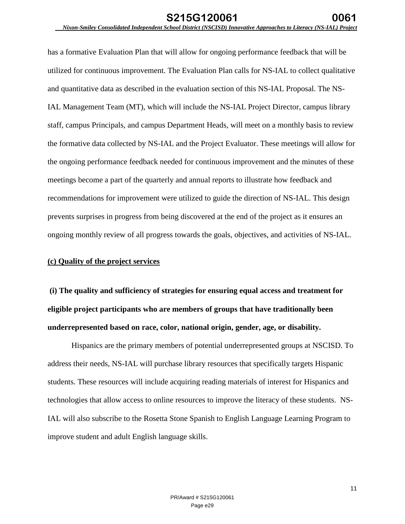has a formative Evaluation Plan that will allow for ongoing performance feedback that will be utilized for continuous improvement. The Evaluation Plan calls for NS-IAL to collect qualitative and quantitative data as described in the evaluation section of this NS-IAL Proposal. The NS-IAL Management Team (MT), which will include the NS-IAL Project Director, campus library staff, campus Principals, and campus Department Heads, will meet on a monthly basis to review the formative data collected by NS-IAL and the Project Evaluator. These meetings will allow for the ongoing performance feedback needed for continuous improvement and the minutes of these meetings become a part of the quarterly and annual reports to illustrate how feedback and recommendations for improvement were utilized to guide the direction of NS-IAL. This design prevents surprises in progress from being discovered at the end of the project as it ensures an ongoing monthly review of all progress towards the goals, objectives, and activities of NS-IAL.

## **(c) Quality of the project services**

**(i) The quality and sufficiency of strategies for ensuring equal access and treatment for eligible project participants who are members of groups that have traditionally been underrepresented based on race, color, national origin, gender, age, or disability.** 

Hispanics are the primary members of potential underrepresented groups at NSCISD. To address their needs, NS-IAL will purchase library resources that specifically targets Hispanic students. These resources will include acquiring reading materials of interest for Hispanics and technologies that allow access to online resources to improve the literacy of these students. NS-IAL will also subscribe to the Rosetta Stone Spanish to English Language Learning Program to improve student and adult English language skills.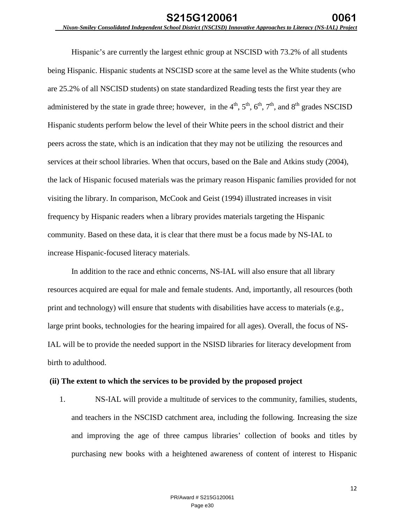Hispanic's are currently the largest ethnic group at NSCISD with 73.2% of all students being Hispanic. Hispanic students at NSCISD score at the same level as the White students (who are 25.2% of all NSCISD students) on state standardized Reading tests the first year they are administered by the state in grade three; however, in the  $4<sup>th</sup>$ ,  $5<sup>th</sup>$ ,  $6<sup>th</sup>$ ,  $7<sup>th</sup>$ , and  $8<sup>th</sup>$  grades NSCISD Hispanic students perform below the level of their White peers in the school district and their peers across the state, which is an indication that they may not be utilizing the resources and services at their school libraries. When that occurs, based on the Bale and Atkins study (2004), the lack of Hispanic focused materials was the primary reason Hispanic families provided for not visiting the library. In comparison, McCook and Geist (1994) illustrated increases in visit frequency by Hispanic readers when a library provides materials targeting the Hispanic community. Based on these data, it is clear that there must be a focus made by NS-IAL to increase Hispanic-focused literacy materials.

In addition to the race and ethnic concerns, NS-IAL will also ensure that all library resources acquired are equal for male and female students. And, importantly, all resources (both print and technology) will ensure that students with disabilities have access to materials (e.g., large print books, technologies for the hearing impaired for all ages). Overall, the focus of NS-IAL will be to provide the needed support in the NSISD libraries for literacy development from birth to adulthood.

## **(ii) The extent to which the services to be provided by the proposed project**

1. NS-IAL will provide a multitude of services to the community, families, students, and teachers in the NSCISD catchment area, including the following. Increasing the size and improving the age of three campus libraries' collection of books and titles by purchasing new books with a heightened awareness of content of interest to Hispanic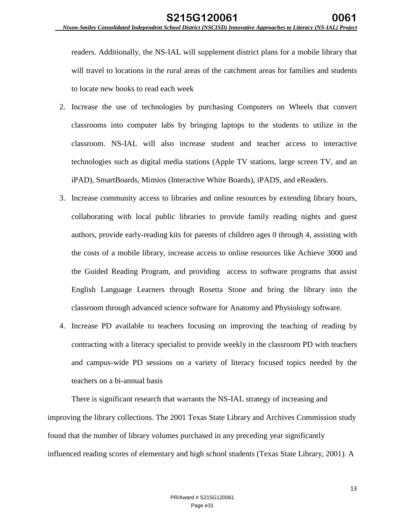readers. Additionally, the NS-IAL will supplement district plans for a mobile library that will travel to locations in the rural areas of the catchment areas for families and students to locate new books to read each week

- 2. Increase the use of technologies by purchasing Computers on Wheels that convert classrooms into computer labs by bringing laptops to the students to utilize in the classroom. NS-IAL will also increase student and teacher access to interactive technologies such as digital media stations (Apple TV stations, large screen TV, and an iPAD), SmartBoards, Mimios (Interactive White Boards), iPADS, and eReaders.
- 3. Increase community access to libraries and online resources by extending library hours, collaborating with local public libraries to provide family reading nights and guest authors, provide early-reading kits for parents of children ages 0 through 4, assisting with the costs of a mobile library, increase access to online resources like Achieve 3000 and the Guided Reading Program, and providing access to software programs that assist English Language Learners through Rosetta Stone and bring the library into the classroom through advanced science software for Anatomy and Physiology software.
- 4. Increase PD available to teachers focusing on improving the teaching of reading by contracting with a literacy specialist to provide weekly in the classroom PD with teachers and campus-wide PD sessions on a variety of literacy focused topics needed by the teachers on a bi-annual basis

There is significant research that warrants the NS-IAL strategy of increasing and improving the library collections. The 2001 Texas State Library and Archives Commission study found that the number of library volumes purchased in any preceding year significantly influenced reading scores of elementary and high school students (Texas State Library, 2001). A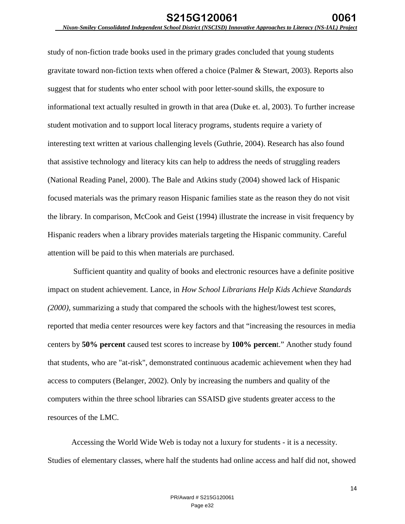study of non-fiction trade books used in the primary grades concluded that young students gravitate toward non-fiction texts when offered a choice (Palmer & Stewart, 2003). Reports also suggest that for students who enter school with poor letter-sound skills, the exposure to informational text actually resulted in growth in that area (Duke et. al, 2003). To further increase student motivation and to support local literacy programs, students require a variety of interesting text written at various challenging levels (Guthrie, 2004). Research has also found that assistive technology and literacy kits can help to address the needs of struggling readers (National Reading Panel, 2000). The Bale and Atkins study (2004) showed lack of Hispanic focused materials was the primary reason Hispanic families state as the reason they do not visit the library. In comparison, McCook and Geist (1994) illustrate the increase in visit frequency by Hispanic readers when a library provides materials targeting the Hispanic community. Careful attention will be paid to this when materials are purchased.

 Sufficient quantity and quality of books and electronic resources have a definite positive impact on student achievement. Lance, in *How School Librarians Help Kids Achieve Standards (2000),* summarizing a study that compared the schools with the highest/lowest test scores, reported that media center resources were key factors and that "increasing the resources in media centers by **50% percent** caused test scores to increase by **100% percen**t." Another study found that students, who are "at-risk", demonstrated continuous academic achievement when they had access to computers (Belanger, 2002). Only by increasing the numbers and quality of the computers within the three school libraries can SSAISD give students greater access to the resources of the LMC.

Accessing the World Wide Web is today not a luxury for students - it is a necessity. Studies of elementary classes, where half the students had online access and half did not, showed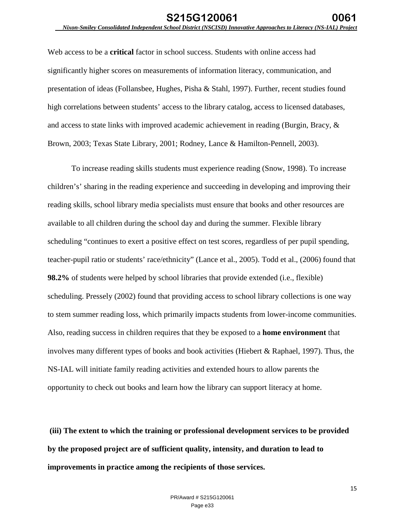Web access to be a **critical** factor in school success. Students with online access had significantly higher scores on measurements of information literacy, communication, and presentation of ideas (Follansbee, Hughes, Pisha & Stahl, 1997). Further, recent studies found high correlations between students' access to the library catalog, access to licensed databases, and access to state links with improved academic achievement in reading (Burgin, Bracy, & Brown, 2003; Texas State Library, 2001; Rodney, Lance & Hamilton-Pennell, 2003).

To increase reading skills students must experience reading (Snow, 1998). To increase children's' sharing in the reading experience and succeeding in developing and improving their reading skills, school library media specialists must ensure that books and other resources are available to all children during the school day and during the summer. Flexible library scheduling "continues to exert a positive effect on test scores, regardless of per pupil spending, teacher-pupil ratio or students' race/ethnicity" (Lance et al., 2005). Todd et al., (2006) found that **98.2%** of students were helped by school libraries that provide extended (i.e., flexible) scheduling. Pressely (2002) found that providing access to school library collections is one way to stem summer reading loss, which primarily impacts students from lower-income communities. Also, reading success in children requires that they be exposed to a **home environment** that involves many different types of books and book activities (Hiebert & Raphael, 1997). Thus, the NS-IAL will initiate family reading activities and extended hours to allow parents the opportunity to check out books and learn how the library can support literacy at home.

**(iii) The extent to which the training or professional development services to be provided by the proposed project are of sufficient quality, intensity, and duration to lead to improvements in practice among the recipients of those services.**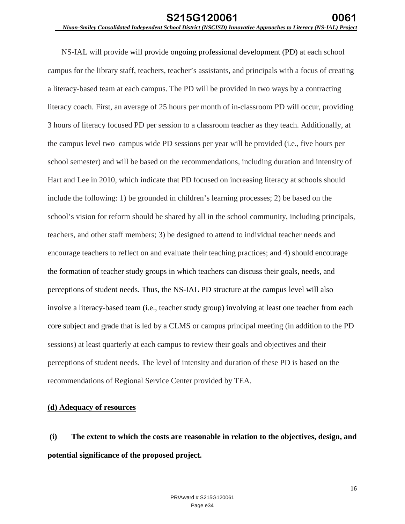NS-IAL will provide will provide ongoing professional development (PD) at each school campus for the library staff, teachers, teacher's assistants, and principals with a focus of creating a literacy-based team at each campus. The PD will be provided in two ways by a contracting literacy coach. First, an average of 25 hours per month of in-classroom PD will occur, providing 3 hours of literacy focused PD per session to a classroom teacher as they teach. Additionally, at the campus level two campus wide PD sessions per year will be provided (i.e., five hours per school semester) and will be based on the recommendations, including duration and intensity of Hart and Lee in 2010, which indicate that PD focused on increasing literacy at schools should include the following: 1) be grounded in children's learning processes; 2) be based on the school's vision for reform should be shared by all in the school community, including principals, teachers, and other staff members; 3) be designed to attend to individual teacher needs and encourage teachers to reflect on and evaluate their teaching practices; and 4) should encourage the formation of teacher study groups in which teachers can discuss their goals, needs, and perceptions of student needs. Thus, the NS-IAL PD structure at the campus level will also involve a literacy-based team (i.e., teacher study group) involving at least one teacher from each core subject and grade that is led by a CLMS or campus principal meeting (in addition to the PD sessions) at least quarterly at each campus to review their goals and objectives and their perceptions of student needs. The level of intensity and duration of these PD is based on the recommendations of Regional Service Center provided by TEA.

## **(d) Adequacy of resources**

**(i) The extent to which the costs are reasonable in relation to the objectives, design, and potential significance of the proposed project.**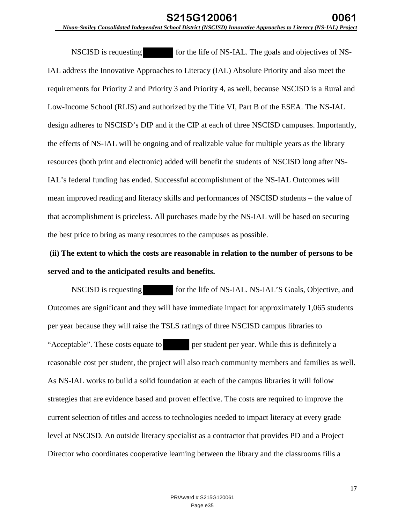NSCISD is requesting for the life of NS-IAL. The goals and objectives of NS-IAL address the Innovative Approaches to Literacy (IAL) Absolute Priority and also meet the requirements for Priority 2 and Priority 3 and Priority 4, as well, because NSCISD is a Rural and Low-Income School (RLIS) and authorized by the Title VI, Part B of the ESEA. The NS-IAL design adheres to NSCISD's DIP and it the CIP at each of three NSCISD campuses. Importantly, the effects of NS-IAL will be ongoing and of realizable value for multiple years as the library resources (both print and electronic) added will benefit the students of NSCISD long after NS-IAL's federal funding has ended. Successful accomplishment of the NS-IAL Outcomes will mean improved reading and literacy skills and performances of NSCISD students – the value of that accomplishment is priceless. All purchases made by the NS-IAL will be based on securing the best price to bring as many resources to the campuses as possible.

## **(ii) The extent to which the costs are reasonable in relation to the number of persons to be served and to the anticipated results and benefits.**

NSCISD is requesting for the life of NS-IAL. NS-IAL'S Goals, Objective, and Outcomes are significant and they will have immediate impact for approximately 1,065 students per year because they will raise the TSLS ratings of three NSCISD campus libraries to "Acceptable". These costs equate to per student per year. While this is definitely a reasonable cost per student, the project will also reach community members and families as well. As NS-IAL works to build a solid foundation at each of the campus libraries it will follow strategies that are evidence based and proven effective. The costs are required to improve the current selection of titles and access to technologies needed to impact literacy at every grade level at NSCISD. An outside literacy specialist as a contractor that provides PD and a Project Director who coordinates cooperative learning between the library and the classrooms fills a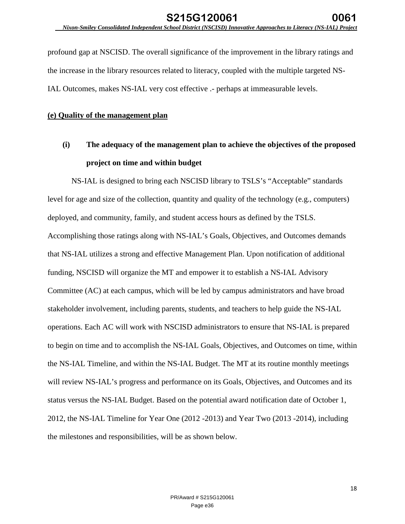profound gap at NSCISD. The overall significance of the improvement in the library ratings and the increase in the library resources related to literacy, coupled with the multiple targeted NS-IAL Outcomes, makes NS-IAL very cost effective .- perhaps at immeasurable levels.

## **(e) Quality of the management plan**

## **(i) The adequacy of the management plan to achieve the objectives of the proposed project on time and within budget**

 NS-IAL is designed to bring each NSCISD library to TSLS's "Acceptable" standards level for age and size of the collection, quantity and quality of the technology (e.g., computers) deployed, and community, family, and student access hours as defined by the TSLS. Accomplishing those ratings along with NS-IAL's Goals, Objectives, and Outcomes demands that NS-IAL utilizes a strong and effective Management Plan. Upon notification of additional funding, NSCISD will organize the MT and empower it to establish a NS-IAL Advisory Committee (AC) at each campus, which will be led by campus administrators and have broad stakeholder involvement, including parents, students, and teachers to help guide the NS-IAL operations. Each AC will work with NSCISD administrators to ensure that NS-IAL is prepared to begin on time and to accomplish the NS-IAL Goals, Objectives, and Outcomes on time, within the NS-IAL Timeline, and within the NS-IAL Budget. The MT at its routine monthly meetings will review NS-IAL's progress and performance on its Goals, Objectives, and Outcomes and its status versus the NS-IAL Budget. Based on the potential award notification date of October 1, 2012, the NS-IAL Timeline for Year One (2012 -2013) and Year Two (2013 -2014), including the milestones and responsibilities, will be as shown below.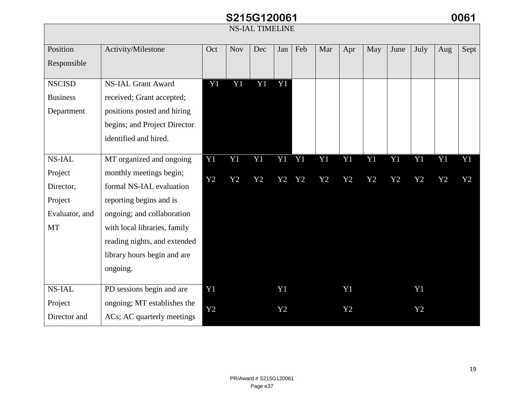#### *Nixon-Smiley Consolidated Independent School District (NSCISD) Innovative Approaches to Literacy (NS-IAL) Project* NS-IAL TIMELINE Position Responsible Activity/Milestone | Oct | Nov | Dec | Jan | Feb | Mar | Apr | May | June | July | Aug | Sept **NSCISD** Business Department NS-IAL Grant Award received; Grant accepted; positions posted and hiring begins; and Project Director identified and hired. Y1 Y1 Y1 Y1 NS-IAL Project Director, Project Evaluator, and MT MT organized and ongoing monthly meetings begin; formal NS-IAL evaluation reporting begins and is ongoing; and collaboration with local libraries, family reading nights, and extended library hours begin and are ongoing. Y1 Y2 Y1 Y2 Y1 Y2 Y1 Y1 Y2 Y2 Y1 Y2 Y1 Y2 Y1 Y2 Y1 Y2 Y1 Y2 Y1 Y2 Y1 Y2 NS-IAL Project Director and PD sessions begin and are ongoing; MT establishes the ACs; AC quarterly meetings Y1 Y2 Y1 Y2 Y1 Y2 Y1 Y2 **S215G120061 0061**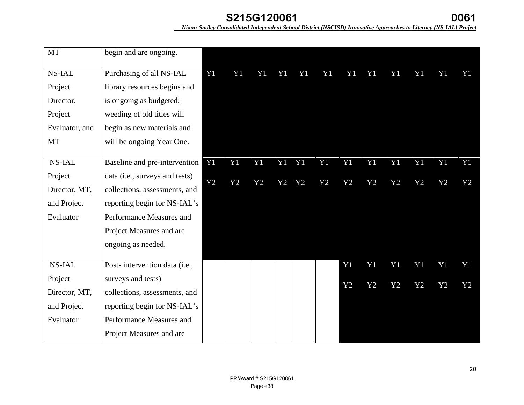| <b>MT</b>      | begin and are ongoing.         |    |    |    |       |                |    |                |                |                |                |                |                |
|----------------|--------------------------------|----|----|----|-------|----------------|----|----------------|----------------|----------------|----------------|----------------|----------------|
| NS-IAL         | Purchasing of all NS-IAL       | Y1 | Y1 | Y1 | Y1    | Y <sub>1</sub> | Y1 | Y <sub>1</sub> | Y <sub>1</sub> | Y <sub>1</sub> | Y <sub>1</sub> | Y <sub>1</sub> | Y1             |
| Project        | library resources begins and   |    |    |    |       |                |    |                |                |                |                |                |                |
| Director,      | is ongoing as budgeted;        |    |    |    |       |                |    |                |                |                |                |                |                |
| Project        | weeding of old titles will     |    |    |    |       |                |    |                |                |                |                |                |                |
| Evaluator, and | begin as new materials and     |    |    |    |       |                |    |                |                |                |                |                |                |
| MT             | will be ongoing Year One.      |    |    |    |       |                |    |                |                |                |                |                |                |
|                |                                |    |    |    |       |                |    |                |                |                |                |                |                |
| <b>NS-IAL</b>  | Baseline and pre-intervention  | Y1 | Y1 | Y1 | Y1 Y1 |                | Y1 | Y1             | Y <sub>1</sub> | Y <sub>1</sub> | Y <sub>1</sub> | Y1             | Y <sub>1</sub> |
| Project        | data (i.e., surveys and tests) | Y2 | Y2 | Y2 | Y2    | Y2             | Y2 | Y2             | Y2             | Y2             | Y2             | Y2             | Y2             |
| Director, MT,  | collections, assessments, and  |    |    |    |       |                |    |                |                |                |                |                |                |
| and Project    | reporting begin for NS-IAL's   |    |    |    |       |                |    |                |                |                |                |                |                |
| Evaluator      | Performance Measures and       |    |    |    |       |                |    |                |                |                |                |                |                |
|                | Project Measures and are       |    |    |    |       |                |    |                |                |                |                |                |                |
|                | ongoing as needed.             |    |    |    |       |                |    |                |                |                |                |                |                |
|                |                                |    |    |    |       |                |    |                |                |                |                |                |                |
| <b>NS-IAL</b>  | Post-intervention data (i.e.,  |    |    |    |       |                |    | Y1             | Y <sub>1</sub> | Y1             | Y1             | Y1             | Y <sub>1</sub> |
| Project        | surveys and tests)             |    |    |    |       |                |    | Y2             | Y2             | Y2             | Y2             | Y2             | Y2             |
| Director, MT,  | collections, assessments, and  |    |    |    |       |                |    |                |                |                |                |                |                |
| and Project    | reporting begin for NS-IAL's   |    |    |    |       |                |    |                |                |                |                |                |                |
| Evaluator      | Performance Measures and       |    |    |    |       |                |    |                |                |                |                |                |                |
|                | Project Measures and are       |    |    |    |       |                |    |                |                |                |                |                |                |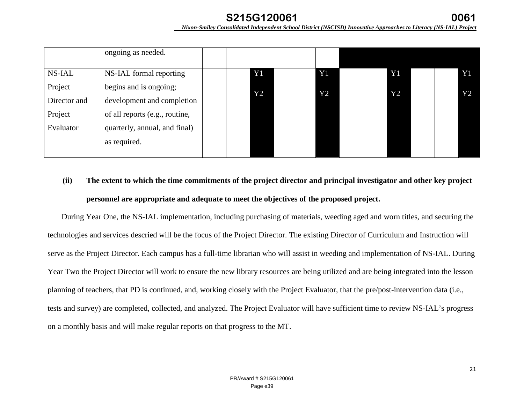|               | ongoing as needed.             |  |    |                |                 |                |  |                |    |    |
|---------------|--------------------------------|--|----|----------------|-----------------|----------------|--|----------------|----|----|
|               |                                |  |    |                |                 |                |  |                |    |    |
| <b>NS-IAL</b> | NS-IAL formal reporting        |  |    | Y <sub>1</sub> |                 | Y <sub>1</sub> |  | Y <sub>1</sub> |    | Y1 |
| Project       | begins and is ongoing;         |  | Y2 |                | $\overline{Y}2$ | Y2             |  |                | Y2 |    |
| Director and  | development and completion     |  |    |                |                 |                |  |                |    |    |
| Project       | of all reports (e.g., routine, |  |    |                |                 |                |  |                |    |    |
| Evaluator     | quarterly, annual, and final)  |  |    |                |                 |                |  |                |    |    |
|               | as required.                   |  |    |                |                 |                |  |                |    |    |
|               |                                |  |    |                |                 |                |  |                |    |    |

## **(ii) The extent to which the time commitments of the project director and principal investigator and other key project personnel are appropriate and adequate to meet the objectives of the proposed project.**

During Year One, the NS-IAL implementation, including purchasing of materials, weeding aged and worn titles, and securing the technologies and services descried will be the focus of the Project Director. The existing Director of Curriculum and Instruction will serve as the Project Director. Each campus has a full-time librarian who will assist in weeding and implementation of NS-IAL. During Year Two the Project Director will work to ensure the new library resources are being utilized and are being integrated into the lesson planning of teachers, that PD is continued, and, working closely with the Project Evaluator, that the pre/post-intervention data (i.e., tests and survey) are completed, collected, and analyzed. The Project Evaluator will have sufficient time to review NS-IAL's progress on a monthly basis and will make regular reports on that progress to the MT.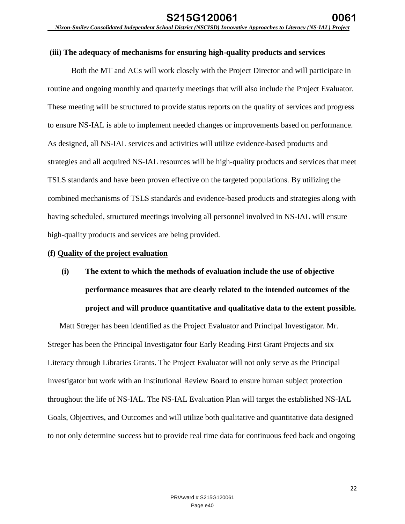## **(iii) The adequacy of mechanisms for ensuring high-quality products and services**

Both the MT and ACs will work closely with the Project Director and will participate in routine and ongoing monthly and quarterly meetings that will also include the Project Evaluator. These meeting will be structured to provide status reports on the quality of services and progress to ensure NS-IAL is able to implement needed changes or improvements based on performance. As designed, all NS-IAL services and activities will utilize evidence-based products and strategies and all acquired NS-IAL resources will be high-quality products and services that meet TSLS standards and have been proven effective on the targeted populations. By utilizing the combined mechanisms of TSLS standards and evidence-based products and strategies along with having scheduled, structured meetings involving all personnel involved in NS-IAL will ensure high-quality products and services are being provided.

#### **(f) Quality of the project evaluation**

**(i) The extent to which the methods of evaluation include the use of objective performance measures that are clearly related to the intended outcomes of the project and will produce quantitative and qualitative data to the extent possible.** 

Matt Streger has been identified as the Project Evaluator and Principal Investigator. Mr. Streger has been the Principal Investigator four Early Reading First Grant Projects and six Literacy through Libraries Grants. The Project Evaluator will not only serve as the Principal Investigator but work with an Institutional Review Board to ensure human subject protection throughout the life of NS-IAL. The NS-IAL Evaluation Plan will target the established NS-IAL Goals, Objectives, and Outcomes and will utilize both qualitative and quantitative data designed to not only determine success but to provide real time data for continuous feed back and ongoing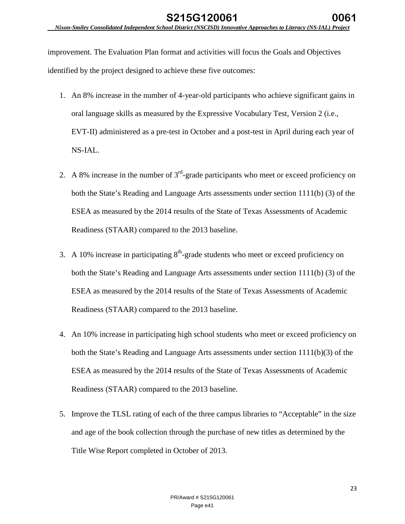improvement. The Evaluation Plan format and activities will focus the Goals and Objectives identified by the project designed to achieve these five outcomes:

- 1. An 8% increase in the number of 4-year-old participants who achieve significant gains in oral language skills as measured by the Expressive Vocabulary Test, Version 2 (i.e., EVT-II) administered as a pre-test in October and a post-test in April during each year of NS-IAL.
- 2. A 8% increase in the number of  $3<sup>rd</sup>$ -grade participants who meet or exceed proficiency on both the State's Reading and Language Arts assessments under section 1111(b) (3) of the ESEA as measured by the 2014 results of the State of Texas Assessments of Academic Readiness (STAAR) compared to the 2013 baseline.
- 3. A 10% increase in participating  $8<sup>th</sup>$ -grade students who meet or exceed proficiency on both the State's Reading and Language Arts assessments under section 1111(b) (3) of the ESEA as measured by the 2014 results of the State of Texas Assessments of Academic Readiness (STAAR) compared to the 2013 baseline.
- 4. An 10% increase in participating high school students who meet or exceed proficiency on both the State's Reading and Language Arts assessments under section 1111(b)(3) of the ESEA as measured by the 2014 results of the State of Texas Assessments of Academic Readiness (STAAR) compared to the 2013 baseline.
- 5. Improve the TLSL rating of each of the three campus libraries to "Acceptable" in the size and age of the book collection through the purchase of new titles as determined by the Title Wise Report completed in October of 2013.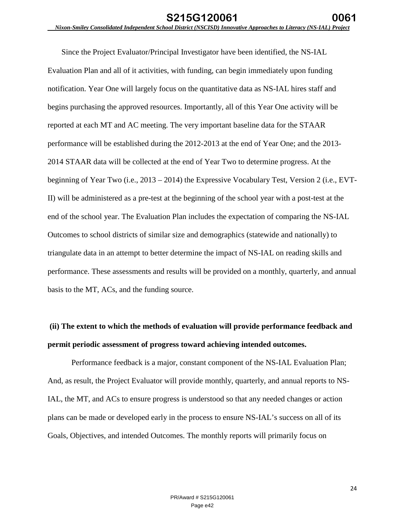Since the Project Evaluator/Principal Investigator have been identified, the NS-IAL Evaluation Plan and all of it activities, with funding, can begin immediately upon funding notification. Year One will largely focus on the quantitative data as NS-IAL hires staff and begins purchasing the approved resources. Importantly, all of this Year One activity will be reported at each MT and AC meeting. The very important baseline data for the STAAR performance will be established during the 2012-2013 at the end of Year One; and the 2013- 2014 STAAR data will be collected at the end of Year Two to determine progress. At the beginning of Year Two (i.e., 2013 – 2014) the Expressive Vocabulary Test, Version 2 (i.e., EVT-II) will be administered as a pre-test at the beginning of the school year with a post-test at the end of the school year. The Evaluation Plan includes the expectation of comparing the NS-IAL Outcomes to school districts of similar size and demographics (statewide and nationally) to triangulate data in an attempt to better determine the impact of NS-IAL on reading skills and performance. These assessments and results will be provided on a monthly, quarterly, and annual basis to the MT, ACs, and the funding source.

# **(ii) The extent to which the methods of evaluation will provide performance feedback and permit periodic assessment of progress toward achieving intended outcomes.**

Performance feedback is a major, constant component of the NS-IAL Evaluation Plan; And, as result, the Project Evaluator will provide monthly, quarterly, and annual reports to NS-IAL, the MT, and ACs to ensure progress is understood so that any needed changes or action plans can be made or developed early in the process to ensure NS-IAL's success on all of its Goals, Objectives, and intended Outcomes. The monthly reports will primarily focus on